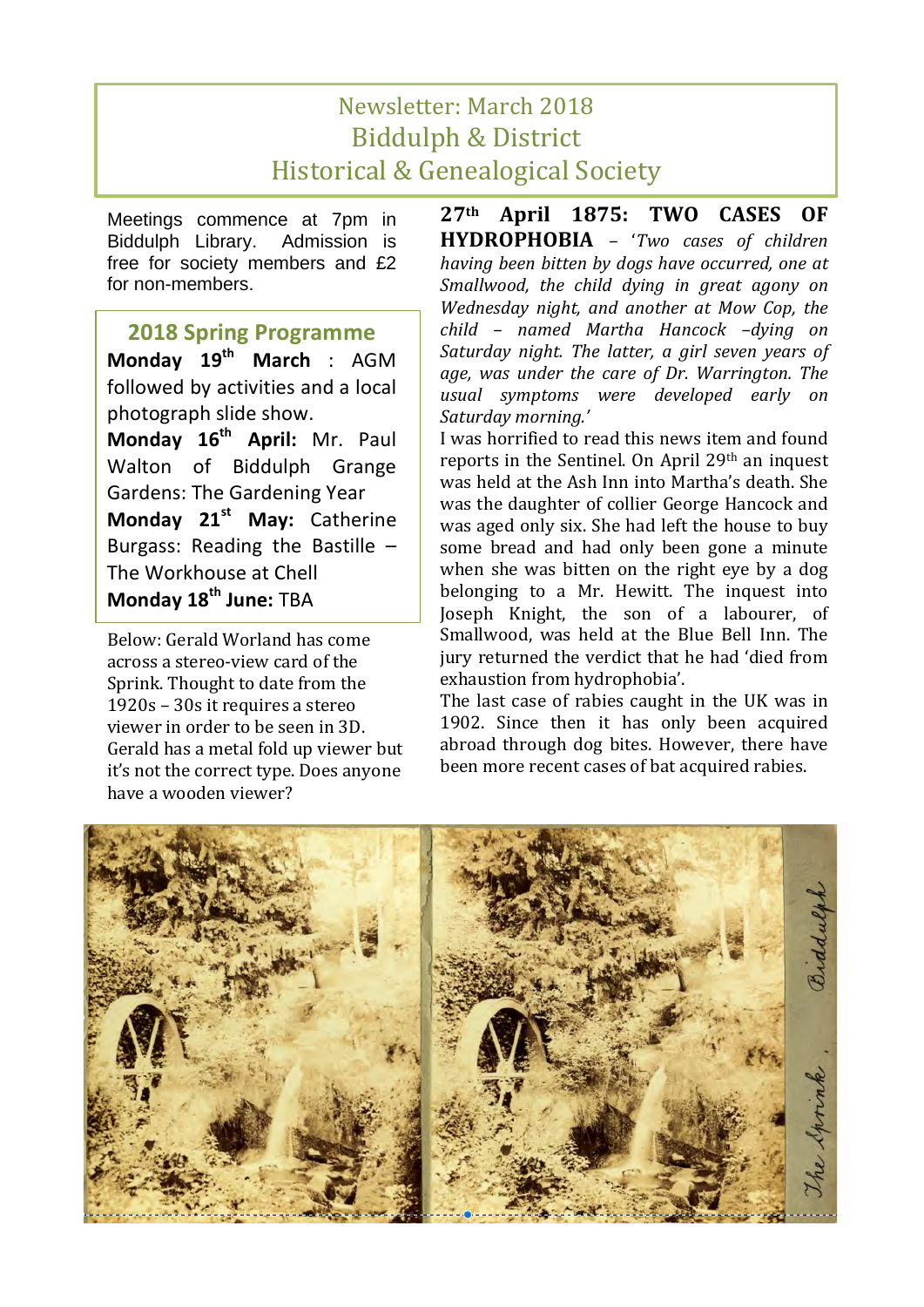## Newsletter: March 2018 **Biddulph & District** Historical & Genealogical Society

Meetings commence at 7pm in Biddulph Library. Admission is free for society members and £2 for non-members.

## **2018 Spring Programme**

**Monday 19th March** : AGM followed by activities and a local photograph slide show.

Monday 16<sup>th</sup> April: Mr. Paul Walton of Biddulph Grange Gardens: The Gardening Year **Monday 21st May:** Catherine Burgass: Reading the Bastille  $-$ The Workhouse at Chell **Monday 18th June:** TBA

Below: Gerald Worland has come across a stereo-view card of the Sprink. Thought to date from the  $1920s - 30s$  it requires a stereo viewer in order to be seen in 3D. Gerald has a metal fold up viewer but it's not the correct type. Does anyone have a wooden viewer?

**27th April 1875: TWO CASES OF HYDROPHOBIA** – '*Two cases of children having been bitten by dogs have occurred, one at* Smallwood, the child dying in great agony on *Wednesday night, and another at Mow Cop, the child – named Martha Hancock –dying on*  Saturday night. The latter, a girl seven years of age, was under the care of Dr. Warrington. The *usual symptoms were developed early on Saturday morning.'*

I was horrified to read this news item and found reports in the Sentinel. On April  $29<sup>th</sup>$  an inquest was held at the Ash Inn into Martha's death. She was the daughter of collier George Hancock and was aged only six. She had left the house to buy some bread and had only been gone a minute when she was bitten on the right eye by a dog belonging to a Mr. Hewitt. The inquest into Joseph Knight, the son of a labourer, of Smallwood, was held at the Blue Bell Inn. The jury returned the verdict that he had 'died from exhaustion from hydrophobia'.

The last case of rabies caught in the UK was in 1902. Since then it has only been acquired abroad through dog bites. However, there have been more recent cases of bat acquired rabies.